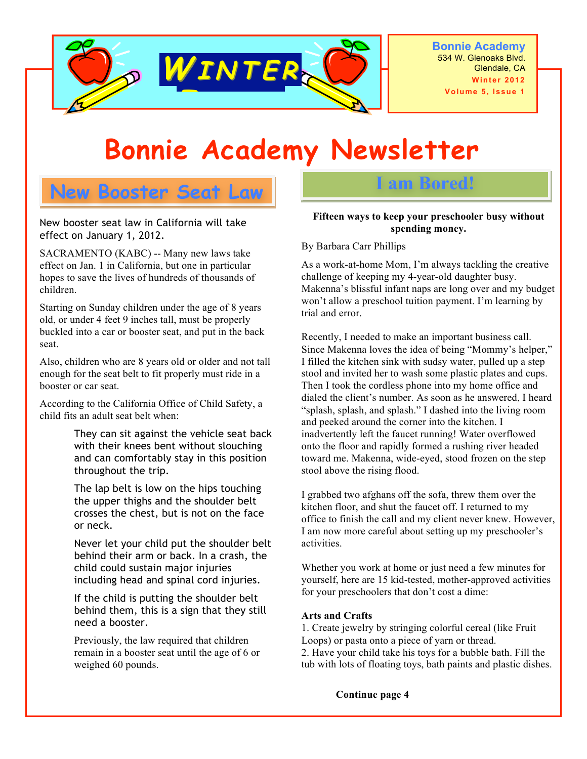

**Bonnie Academy** 534 W. Glenoaks Blvd. Glendale, CA **Volume 5, Issue 1**

# **Bonnie Academy Newsletter**

# **New Booster Seat Law**

New booster seat law in California will take effect on January 1, 2012.

SACRAMENTO (KABC) -- Many new laws take effect on Jan. 1 in California, but one in particular hopes to save the lives of hundreds of thousands of children.

Starting on Sunday children under the age of 8 years old, or under 4 feet 9 inches tall, must be properly buckled into a car or booster seat, and put in the back seat.

Also, children who are 8 years old or older and not tall enough for the seat belt to fit properly must ride in a booster or car seat.

According to the California Office of Child Safety, a child fits an adult seat belt when:

> They can sit against the vehicle seat back with their knees bent without slouching and can comfortably stay in this position throughout the trip.

 The lap belt is low on the hips touching the upper thighs and the shoulder belt crosses the chest, but is not on the face or neck.

 Never let your child put the shoulder belt behind their arm or back. In a crash, the child could sustain major injuries including head and spinal cord injuries.

 If the child is putting the shoulder belt behind them, this is a sign that they still need a booster.

Previously, the law required that children remain in a booster seat until the age of 6 or weighed 60 pounds.

#### **Fifteen ways to keep your preschooler busy without spending money.**

**I am Bored!**

By Barbara Carr Phillips

As a work-at-home Mom, I'm always tackling the creative challenge of keeping my 4-year-old daughter busy. Makenna's blissful infant naps are long over and my budget won't allow a preschool tuition payment. I'm learning by trial and error.

Recently, I needed to make an important business call. Since Makenna loves the idea of being "Mommy's helper," I filled the kitchen sink with sudsy water, pulled up a step stool and invited her to wash some plastic plates and cups. Then I took the cordless phone into my home office and dialed the client's number. As soon as he answered, I heard "splash, splash, and splash." I dashed into the living room and peeked around the corner into the kitchen. I inadvertently left the faucet running! Water overflowed onto the floor and rapidly formed a rushing river headed toward me. Makenna, wide-eyed, stood frozen on the step stool above the rising flood.

I grabbed two afghans off the sofa, threw them over the kitchen floor, and shut the faucet off. I returned to my office to finish the call and my client never knew. However, I am now more careful about setting up my preschooler's activities.

Whether you work at home or just need a few minutes for yourself, here are 15 kid-tested, mother-approved activities for your preschoolers that don't cost a dime:

#### **Arts and Crafts**

1. Create jewelry by stringing colorful cereal (like Fruit Loops) or pasta onto a piece of yarn or thread. 2. Have your child take his toys for a bubble bath. Fill the tub with lots of floating toys, bath paints and plastic dishes.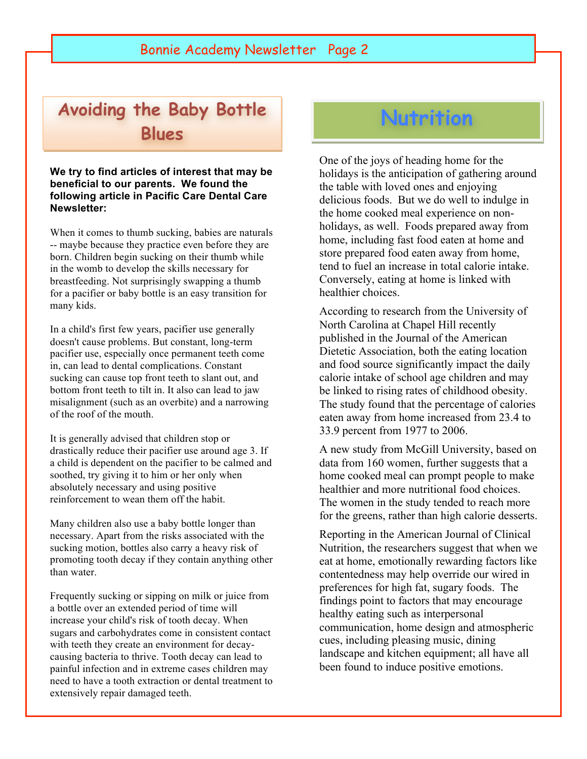# **Avoiding the Baby Bottle Blues**

**We try to find articles of interest that may be beneficial to our parents. We found the following article in Pacific Care Dental Care Newsletter:**

When it comes to thumb sucking, babies are naturals -- maybe because they practice even before they are born. Children begin sucking on their thumb while in the womb to develop the skills necessary for breastfeeding. Not surprisingly swapping a thumb for a pacifier or baby bottle is an easy transition for many kids.

In a child's first few years, pacifier use generally doesn't cause problems. But constant, long-term pacifier use, especially once permanent teeth come in, can lead to dental complications. Constant sucking can cause top front teeth to slant out, and bottom front teeth to tilt in. It also can lead to jaw misalignment (such as an overbite) and a narrowing of the roof of the mouth.

It is generally advised that children stop or drastically reduce their pacifier use around age 3. If a child is dependent on the pacifier to be calmed and soothed, try giving it to him or her only when absolutely necessary and using positive reinforcement to wean them off the habit.

Many children also use a baby bottle longer than necessary. Apart from the risks associated with the sucking motion, bottles also carry a heavy risk of promoting tooth decay if they contain anything other than water.

Frequently sucking or sipping on milk or juice from a bottle over an extended period of time will increase your child's risk of tooth decay. When sugars and carbohydrates come in consistent contact with teeth they create an environment for decaycausing bacteria to thrive. Tooth decay can lead to painful infection and in extreme cases children may need to have a tooth extraction or dental treatment to extensively repair damaged teeth.

Long-term use of pacifiers and bottles can lead

# **Nutrition**

One of the joys of heading home for the holidays is the anticipation of gathering around the table with loved ones and enjoying delicious foods. But we do well to indulge in the home cooked meal experience on nonholidays, as well. Foods prepared away from home, including fast food eaten at home and store prepared food eaten away from home, tend to fuel an increase in total calorie intake. Conversely, eating at home is linked with healthier choices.

According to research from the University of North Carolina at Chapel Hill recently published in the Journal of the American Dietetic Association, both the eating location and food source significantly impact the daily calorie intake of school age children and may be linked to rising rates of childhood obesity. The study found that the percentage of calories eaten away from home increased from 23.4 to 33.9 percent from 1977 to 2006.

A new study from McGill University, based on data from 160 women, further suggests that a home cooked meal can prompt people to make healthier and more nutritional food choices. The women in the study tended to reach more for the greens, rather than high calorie desserts.

Reporting in the American Journal of Clinical Nutrition, the researchers suggest that when we eat at home, emotionally rewarding factors like contentedness may help override our wired in preferences for high fat, sugary foods. The findings point to factors that may encourage healthy eating such as interpersonal communication, home design and atmospheric cues, including pleasing music, dining landscape and kitchen equipment; all have all been found to induce positive emotions.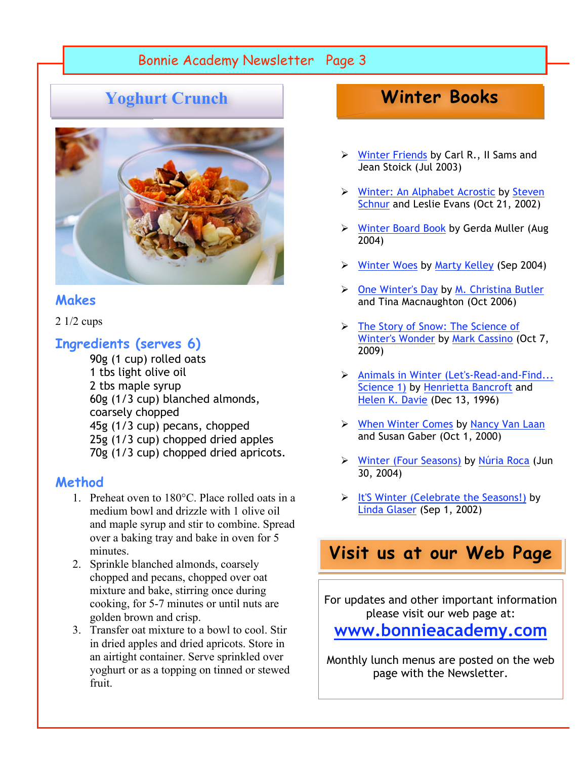## Bonnie Academy Newsletter Page 3

## **Yoghurt Crunch**



#### **Makes**

2 1/2 cups

### **Ingredients (serves 6)**

 90g (1 cup) rolled oats 1 tbs light olive oil 2 tbs maple syrup 60g (1/3 cup) blanched almonds, coarsely chopped 45g (1/3 cup) pecans, chopped 25g (1/3 cup) chopped dried apples 70g (1/3 cup) chopped dried apricots.

#### **Method**

- 1. Preheat oven to 180°C. Place rolled oats in a medium bowl and drizzle with 1 olive oil and maple syrup and stir to combine. Spread over a baking tray and bake in oven for 5 minutes.
- 2. Sprinkle blanched almonds, coarsely chopped and pecans, chopped over oat mixture and bake, stirring once during cooking, for 5-7 minutes or until nuts are golden brown and crisp.
- 3. Transfer oat mixture to a bowl to cool. Stir in dried apples and dried apricots. Store in an airtight container. Serve sprinkled over yoghurt or as a topping on tinned or stewed fruit.

# **Winter Books**

- $\triangleright$  Winter Friends by Carl R., II Sams and Jean Stoick (Jul 2003)
- Winter: An Alphabet Acrostic by Steven Schnur and Leslie Evans (Oct 21, 2002)
- ▶ Winter Board Book by Gerda Muller (Aug 2004)
- Winter Woes by Marty Kelley (Sep 2004)
- One Winter's Day by M. Christina Butler and Tina Macnaughton (Oct 2006)
- The Story of Snow: The Science of Winter's Wonder by Mark Cassino (Oct 7, 2009)
- Animals in Winter (Let's-Read-and-Find... Science 1) by Henrietta Bancroft and Helen K. Davie (Dec 13, 1996)
- When Winter Comes by Nancy Van Laan and Susan Gaber (Oct 1, 2000)
- Winter (Four Seasons) by Núria Roca (Jun 30, 2004)
- > It'S Winter (Celebrate the Seasons!) by Linda Glaser (Sep 1, 2002)

# **Visit us at our Web Page**

For updates and other important information please visit our web page at:

## **www.bonnieacademy.com**

Monthly lunch menus are posted on the web page with the Newsletter.